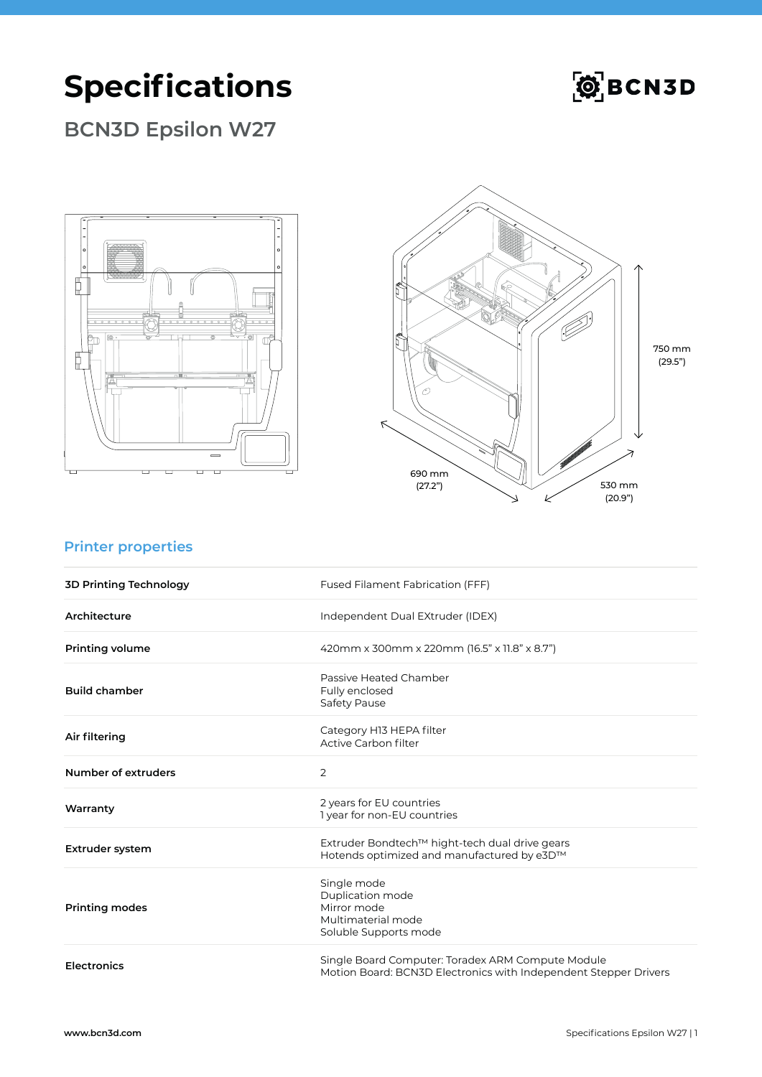# **Specifications**



### **BCN3D Epsilon W27**





### **Printer properties**

| <b>3D Printing Technology</b> | Fused Filament Fabrication (FFF)                                                                                      |
|-------------------------------|-----------------------------------------------------------------------------------------------------------------------|
| Architecture                  | Independent Dual EXtruder (IDEX)                                                                                      |
| <b>Printing volume</b>        | 420mm x 300mm x 220mm (16.5" x 11.8" x 8.7")                                                                          |
| <b>Build chamber</b>          | Passive Heated Chamber<br>Fully enclosed<br>Safety Pause                                                              |
| Air filtering                 | Category H13 HEPA filter<br>Active Carbon filter                                                                      |
| Number of extruders           | 2                                                                                                                     |
| Warranty                      | 2 years for EU countries<br>I year for non-EU countries                                                               |
| <b>Extruder system</b>        | Extruder Bondtech™ hight-tech dual drive gears<br>Hotends optimized and manufactured by e3D™                          |
| <b>Printing modes</b>         | Single mode<br>Duplication mode<br>Mirror mode<br>Multimaterial mode<br>Soluble Supports mode                         |
| <b>Electronics</b>            | Single Board Computer: Toradex ARM Compute Module<br>Motion Board: BCN3D Electronics with Independent Stepper Drivers |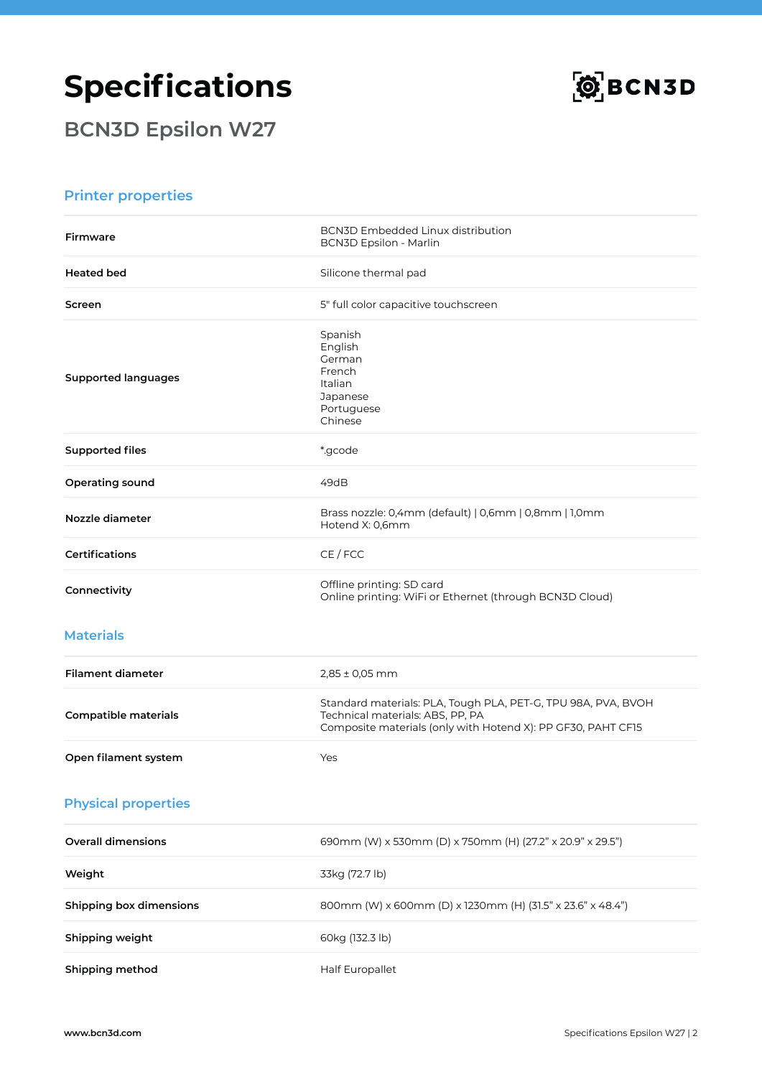## **Specifications**



**BCN3D Epsilon W27**

#### **Printer properties**

| <b>Firmware</b>                | <b>BCN3D Embedded Linux distribution</b><br><b>BCN3D Epsilon - Marlin</b>                                                                                         |
|--------------------------------|-------------------------------------------------------------------------------------------------------------------------------------------------------------------|
| <b>Heated bed</b>              | Silicone thermal pad                                                                                                                                              |
| Screen                         | 5" full color capacitive touchscreen                                                                                                                              |
| <b>Supported languages</b>     | Spanish<br>English<br>German<br>French<br>Italian<br>Japanese<br>Portuguese<br>Chinese                                                                            |
| <b>Supported files</b>         | *.gcode                                                                                                                                                           |
| Operating sound                | 49dB                                                                                                                                                              |
| Nozzle diameter                | Brass nozzle: 0,4mm (default)   0,6mm   0,8mm   1,0mm<br>Hotend X: 0,6mm                                                                                          |
| <b>Certifications</b>          | CE / FCC                                                                                                                                                          |
| Connectivity                   | Offline printing: SD card<br>Online printing: WiFi or Ethernet (through BCN3D Cloud)                                                                              |
| <b>Materials</b>               |                                                                                                                                                                   |
| <b>Filament diameter</b>       | $2,85 \pm 0,05$ mm                                                                                                                                                |
| <b>Compatible materials</b>    | Standard materials: PLA, Tough PLA, PET-G, TPU 98A, PVA, BVOH<br>Technical materials: ABS, PP, PA<br>Composite materials (only with Hotend X): PP GF30, PAHT CF15 |
| Open filament system           | Yes                                                                                                                                                               |
| <b>Physical properties</b>     |                                                                                                                                                                   |
| <b>Overall dimensions</b>      | 690mm (W) x 530mm (D) x 750mm (H) (27.2" x 20.9" x 29.5")                                                                                                         |
| Weight                         | 33kg (72.7 lb)                                                                                                                                                    |
| <b>Shipping box dimensions</b> | 800mm (W) x 600mm (D) x 1230mm (H) (31.5" x 23.6" x 48.4")                                                                                                        |
| Shipping weight                | 60kg (132.3 lb)                                                                                                                                                   |
| Shipping method                | Half Europallet                                                                                                                                                   |